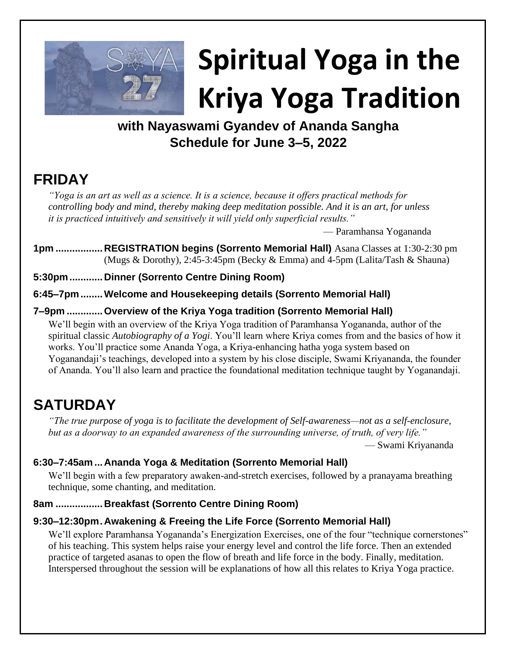

# **Spiritual Yoga in the Kriya Yoga Tradition**

### **with Nayaswami Gyandev of Ananda Sangha Schedule for June 3–5, 2022**

## **FRIDAY**

*"Yoga is an art as well as a science. It is a science, because it offers practical methods for controlling body and mind, thereby making deep meditation possible. And it is an art, for unless it is practiced intuitively and sensitively it will yield only superficial results."*

— Paramhansa Yogananda

**1pm .................REGISTRATION begins (Sorrento Memorial Hall)** Asana Classes at 1:30-2:30 pm (Mugs & Dorothy), 2:45-3:45pm (Becky & Emma) and 4-5pm (Lalita/Tash & Shauna)

**5:30pm............Dinner (Sorrento Centre Dining Room)**

**6:45–7pm........Welcome and Housekeeping details (Sorrento Memorial Hall)**

#### **7–9pm .............Overview of the Kriya Yoga tradition (Sorrento Memorial Hall)**

We'll begin with an overview of the Kriya Yoga tradition of Paramhansa Yogananda, author of the spiritual classic *Autobiography of a Yogi*. You'll learn where Kriya comes from and the basics of how it works. You'll practice some Ananda Yoga, a Kriya-enhancing hatha yoga system based on Yoganandaji's teachings, developed into a system by his close disciple, Swami Kriyananda, the founder of Ananda. You'll also learn and practice the foundational meditation technique taught by Yoganandaji.

## **SATURDAY**

*"The true purpose of yoga is to facilitate the development of Self-awareness—not as a self-enclosure, but as a doorway to an expanded awareness of the surrounding universe, of truth, of very life."*

— Swami Kriyananda

#### **6:30–7:45am ...Ananda Yoga & Meditation (Sorrento Memorial Hall)**

We'll begin with a few preparatory awaken-and-stretch exercises, followed by a pranayama breathing technique, some chanting, and meditation.

#### **8am .................Breakfast (Sorrento Centre Dining Room)**

#### **9:30–12:30pm.Awakening & Freeing the Life Force (Sorrento Memorial Hall)**

We'll explore Paramhansa Yogananda's Energization Exercises, one of the four "technique cornerstones" of his teaching. This system helps raise your energy level and control the life force. Then an extended practice of targeted asanas to open the flow of breath and life force in the body. Finally, meditation. Interspersed throughout the session will be explanations of how all this relates to Kriya Yoga practice.